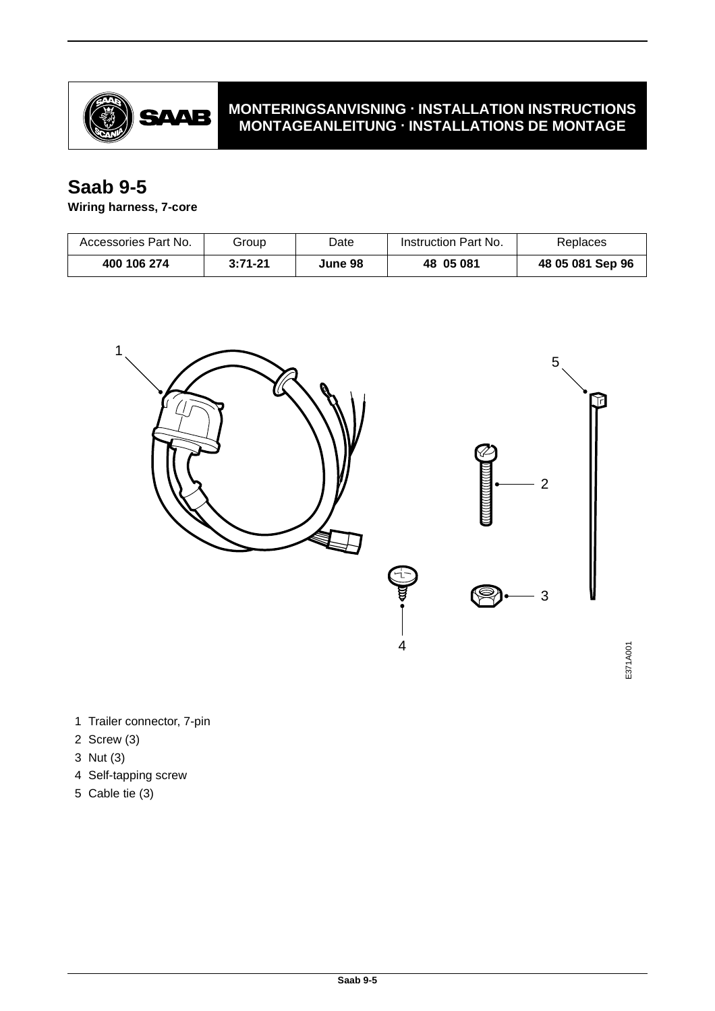

## **MONTERINGSANVISNING · INSTALLATION INSTRUCTIONS MONTAGEANLEITUNG · INSTALLATIONS DE MONTAGE**

## **Saab 9-5**

## **Wiring harness, 7-core**

| Accessories Part No. | Group       | Date    | Instruction Part No. | Replaces         |
|----------------------|-------------|---------|----------------------|------------------|
| 400 106 274          | $3:71 - 21$ | June 98 | 48 05 081            | 48 05 081 Sep 96 |



- 1 Trailer connector, 7-pin
- 2 Screw (3)
- 3 Nut (3)
- 4 Self-tapping screw
- 5 Cable tie (3)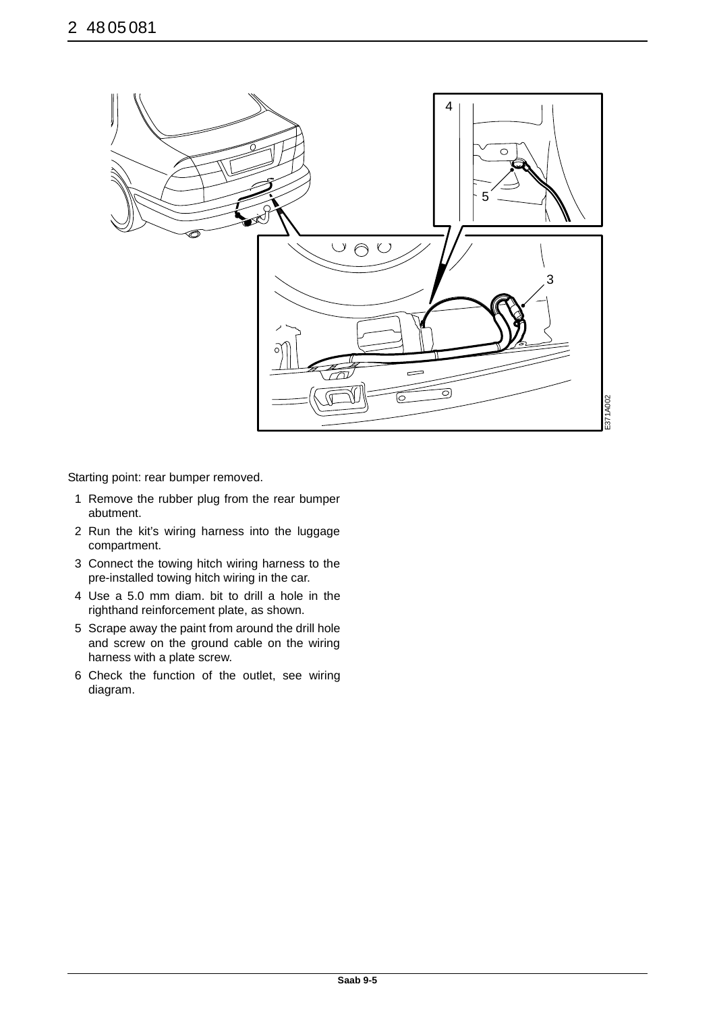

Starting point: rear bumper removed.

- 1 Remove the rubber plug from the rear bumper abutment.
- 2 Run the kit's wiring harness into the luggage compartment.
- 3 Connect the towing hitch wiring harness to the pre-installed towing hitch wiring in the car.
- 4 Use a 5.0 mm diam. bit to drill a hole in the righthand reinforcement plate, as shown.
- 5 Scrape away the paint from around the drill hole and screw on the ground cable on the wiring harness with a plate screw.
- 6 Check the function of the outlet, see wiring diagram.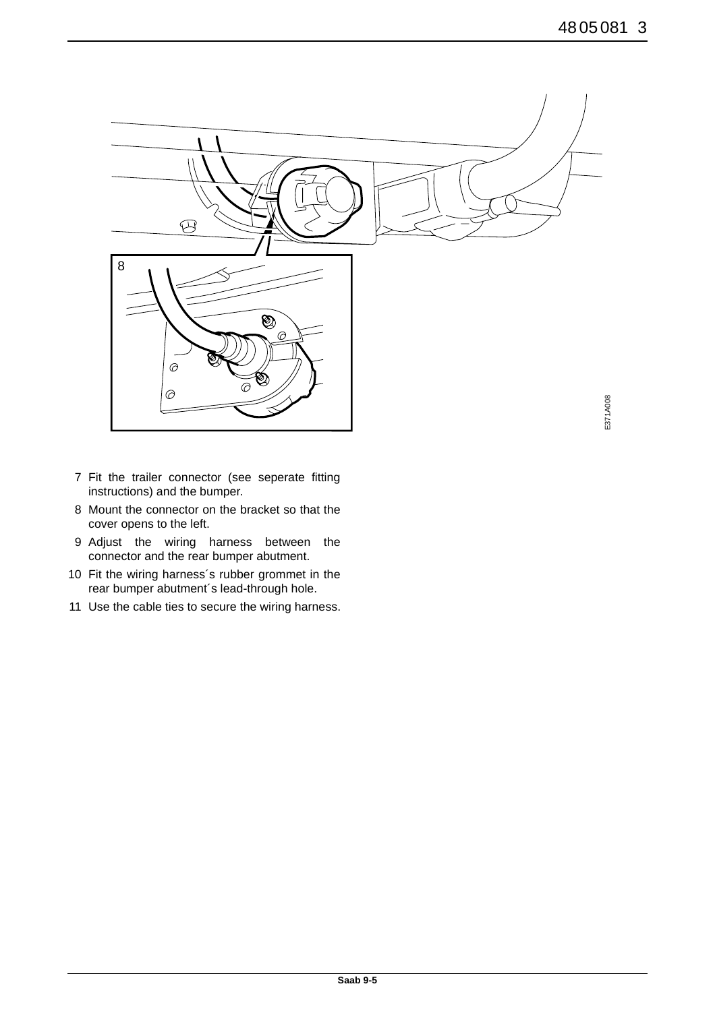

- 7 Fit the trailer connector (see seperate fitting instructions) and the bumper.
- 8 Mount the connector on the bracket so that the cover opens to the left.
- 9 Adjust the wiring harness between the connector and the rear bumper abutment.
- 10 Fit the wiring harness´s rubber grommet in the rear bumper abutment´s lead-through hole.
- 11 Use the cable ties to secure the wiring harness.